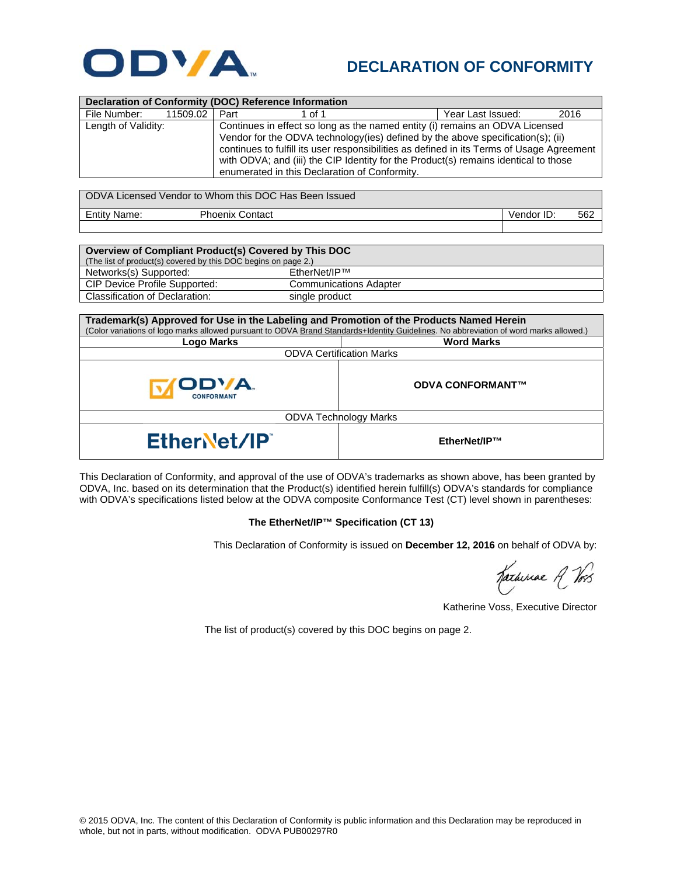

## **DECLARATION OF CONFORMITY**

| Declaration of Conformity (DOC) Reference Information |          |                                                                                  |                                                                                           |                   |      |  |  |  |
|-------------------------------------------------------|----------|----------------------------------------------------------------------------------|-------------------------------------------------------------------------------------------|-------------------|------|--|--|--|
| File Number:                                          | 11509.02 | Part                                                                             | 1 of 1                                                                                    | Year Last Issued: | 2016 |  |  |  |
| Length of Validity:                                   |          | Continues in effect so long as the named entity (i) remains an ODVA Licensed     |                                                                                           |                   |      |  |  |  |
|                                                       |          | Vendor for the ODVA technology (ies) defined by the above specification(s); (ii) |                                                                                           |                   |      |  |  |  |
|                                                       |          |                                                                                  | continues to fulfill its user responsibilities as defined in its Terms of Usage Agreement |                   |      |  |  |  |
|                                                       |          |                                                                                  | with ODVA; and (iii) the CIP Identity for the Product(s) remains identical to those       |                   |      |  |  |  |
|                                                       |          |                                                                                  | enumerated in this Declaration of Conformity.                                             |                   |      |  |  |  |
|                                                       |          |                                                                                  |                                                                                           |                   |      |  |  |  |
| ODVA Licensed Vendor to Whom this DOC Has Been Issued |          |                                                                                  |                                                                                           |                   |      |  |  |  |
| .                                                     |          |                                                                                  |                                                                                           |                   |      |  |  |  |

Entity Name: Phoenix Contact **Vendor ID:** 562

| Overview of Compliant Product(s) Covered by This DOC           |                               |  |  |  |  |
|----------------------------------------------------------------|-------------------------------|--|--|--|--|
| (The list of product(s) covered by this DOC begins on page 2.) |                               |  |  |  |  |
| Networks(s) Supported:                                         | EtherNet/IP™                  |  |  |  |  |
| CIP Device Profile Supported:                                  | <b>Communications Adapter</b> |  |  |  |  |
| Classification of Declaration:                                 | single product                |  |  |  |  |

| Trademark(s) Approved for Use in the Labeling and Promotion of the Products Named Herein                                              |                         |  |  |  |  |
|---------------------------------------------------------------------------------------------------------------------------------------|-------------------------|--|--|--|--|
| (Color variations of logo marks allowed pursuant to ODVA Brand Standards+Identity Guidelines. No abbreviation of word marks allowed.) |                         |  |  |  |  |
| Logo Marks                                                                                                                            | <b>Word Marks</b>       |  |  |  |  |
| <b>ODVA Certification Marks</b>                                                                                                       |                         |  |  |  |  |
| <b>IODVA.</b><br><b>CONFORMANT</b>                                                                                                    | <b>ODVA CONFORMANT™</b> |  |  |  |  |
| <b>ODVA Technology Marks</b>                                                                                                          |                         |  |  |  |  |
| EtherNet/IP                                                                                                                           | EtherNet/IP™            |  |  |  |  |

This Declaration of Conformity, and approval of the use of ODVA's trademarks as shown above, has been granted by ODVA, Inc. based on its determination that the Product(s) identified herein fulfill(s) ODVA's standards for compliance with ODVA's specifications listed below at the ODVA composite Conformance Test (CT) level shown in parentheses:

## **The EtherNet/IP™ Specification (CT 13)**

This Declaration of Conformity is issued on **December 12, 2016** on behalf of ODVA by:

Katheriae A Vos

Katherine Voss, Executive Director

The list of product(s) covered by this DOC begins on page 2.